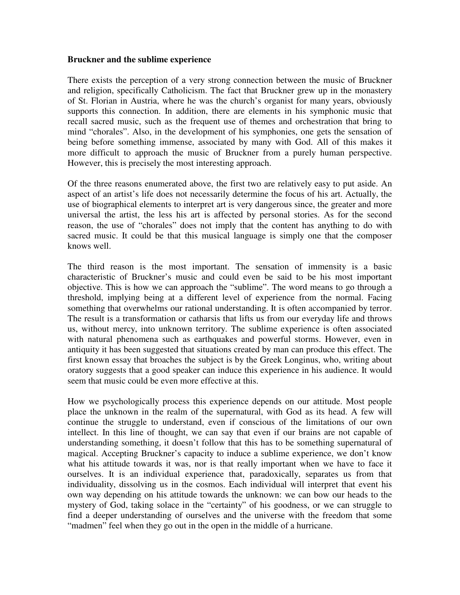## **Bruckner and the sublime experience**

There exists the perception of a very strong connection between the music of Bruckner and religion, specifically Catholicism. The fact that Bruckner grew up in the monastery of St. Florian in Austria, where he was the church's organist for many years, obviously supports this connection. In addition, there are elements in his symphonic music that recall sacred music, such as the frequent use of themes and orchestration that bring to mind "chorales". Also, in the development of his symphonies, one gets the sensation of being before something immense, associated by many with God. All of this makes it more difficult to approach the music of Bruckner from a purely human perspective. However, this is precisely the most interesting approach.

Of the three reasons enumerated above, the first two are relatively easy to put aside. An aspect of an artist's life does not necessarily determine the focus of his art. Actually, the use of biographical elements to interpret art is very dangerous since, the greater and more universal the artist, the less his art is affected by personal stories. As for the second reason, the use of "chorales" does not imply that the content has anything to do with sacred music. It could be that this musical language is simply one that the composer knows well.

The third reason is the most important. The sensation of immensity is a basic characteristic of Bruckner's music and could even be said to be his most important objective. This is how we can approach the "sublime". The word means to go through a threshold, implying being at a different level of experience from the normal. Facing something that overwhelms our rational understanding. It is often accompanied by terror. The result is a transformation or catharsis that lifts us from our everyday life and throws us, without mercy, into unknown territory. The sublime experience is often associated with natural phenomena such as earthquakes and powerful storms. However, even in antiquity it has been suggested that situations created by man can produce this effect. The first known essay that broaches the subject is by the Greek Longinus, who, writing about oratory suggests that a good speaker can induce this experience in his audience. It would seem that music could be even more effective at this.

How we psychologically process this experience depends on our attitude. Most people place the unknown in the realm of the supernatural, with God as its head. A few will continue the struggle to understand, even if conscious of the limitations of our own intellect. In this line of thought, we can say that even if our brains are not capable of understanding something, it doesn't follow that this has to be something supernatural of magical. Accepting Bruckner's capacity to induce a sublime experience, we don't know what his attitude towards it was, nor is that really important when we have to face it ourselves. It is an individual experience that, paradoxically, separates us from that individuality, dissolving us in the cosmos. Each individual will interpret that event his own way depending on his attitude towards the unknown: we can bow our heads to the mystery of God, taking solace in the "certainty" of his goodness, or we can struggle to find a deeper understanding of ourselves and the universe with the freedom that some "madmen" feel when they go out in the open in the middle of a hurricane.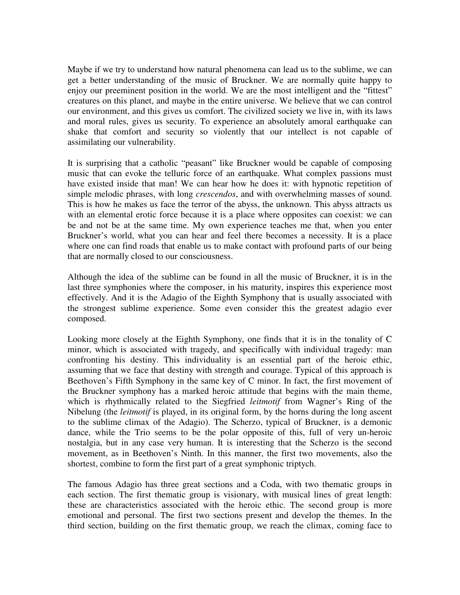Maybe if we try to understand how natural phenomena can lead us to the sublime, we can get a better understanding of the music of Bruckner. We are normally quite happy to enjoy our preeminent position in the world. We are the most intelligent and the "fittest" creatures on this planet, and maybe in the entire universe. We believe that we can control our environment, and this gives us comfort. The civilized society we live in, with its laws and moral rules, gives us security. To experience an absolutely amoral earthquake can shake that comfort and security so violently that our intellect is not capable of assimilating our vulnerability.

It is surprising that a catholic "peasant" like Bruckner would be capable of composing music that can evoke the telluric force of an earthquake. What complex passions must have existed inside that man! We can hear how he does it: with hypnotic repetition of simple melodic phrases, with long *crescendos*, and with overwhelming masses of sound. This is how he makes us face the terror of the abyss, the unknown. This abyss attracts us with an elemental erotic force because it is a place where opposites can coexist: we can be and not be at the same time. My own experience teaches me that, when you enter Bruckner's world, what you can hear and feel there becomes a necessity. It is a place where one can find roads that enable us to make contact with profound parts of our being that are normally closed to our consciousness.

Although the idea of the sublime can be found in all the music of Bruckner, it is in the last three symphonies where the composer, in his maturity, inspires this experience most effectively. And it is the Adagio of the Eighth Symphony that is usually associated with the strongest sublime experience. Some even consider this the greatest adagio ever composed.

Looking more closely at the Eighth Symphony, one finds that it is in the tonality of C minor, which is associated with tragedy, and specifically with individual tragedy: man confronting his destiny. This individuality is an essential part of the heroic ethic, assuming that we face that destiny with strength and courage. Typical of this approach is Beethoven's Fifth Symphony in the same key of C minor. In fact, the first movement of the Bruckner symphony has a marked heroic attitude that begins with the main theme, which is rhythmically related to the Siegfried *leitmotif* from Wagner's Ring of the Nibelung (the *leitmotif* is played, in its original form, by the horns during the long ascent to the sublime climax of the Adagio). The Scherzo, typical of Bruckner, is a demonic dance, while the Trio seems to be the polar opposite of this, full of very un-heroic nostalgia, but in any case very human. It is interesting that the Scherzo is the second movement, as in Beethoven's Ninth. In this manner, the first two movements, also the shortest, combine to form the first part of a great symphonic triptych.

The famous Adagio has three great sections and a Coda, with two thematic groups in each section. The first thematic group is visionary, with musical lines of great length: these are characteristics associated with the heroic ethic. The second group is more emotional and personal. The first two sections present and develop the themes. In the third section, building on the first thematic group, we reach the climax, coming face to